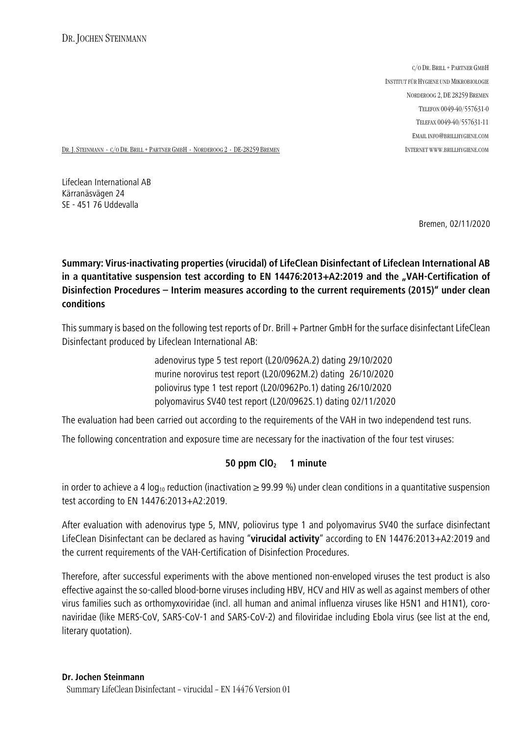C/O DR. BRILL + PARTNER GMBH INSTITUT FÜR HYGIENE UND MIKROBIOLOGIE NORDEROOG 2, DE 28259 BREMEN TELEFON 0049-40/557631-0 TELEFAX 0049-40/557631-11 EMAIL INFO@BRILLHYGIENE.COM

DR. J. STEINMANN ⋅ C/O DR. BRILL + PARTNER GMBH ⋅ NORDEROOG 2 ⋅ DE-28259 BREMEN INTERNET WWW.BRILLHYGIENE.COM

Lifeclean International AB Kärranäsvägen 24 SE - 451 76 Uddevalla

Bremen, 02/11/2020

## **Summary: Virus-inactivating properties (virucidal) of LifeClean Disinfectant of Lifeclean International AB** in a quantitative suspension test according to EN 14476:2013+A2:2019 and the "VAH-Certification of **Disinfection Procedures – Interim measures according to the current requirements (2015)" under clean conditions**

This summary is based on the following test reports of Dr. Brill + Partner GmbH for the surface disinfectant LifeClean Disinfectant produced by Lifeclean International AB:

> adenovirus type 5 test report (L20/0962A.2) dating 29/10/2020 murine norovirus test report (L20/0962M.2) dating 26/10/2020 poliovirus type 1 test report (L20/0962Po.1) dating 26/10/2020 polyomavirus SV40 test report (L20/0962S.1) dating 02/11/2020

The evaluation had been carried out according to the requirements of the VAH in two independend test runs.

The following concentration and exposure time are necessary for the inactivation of the four test viruses:

## **50 ppm ClO<sup>2</sup> 1 minute**

in order to achieve a 4 log<sub>10</sub> reduction (inactivation  $\geq$  99.99 %) under clean conditions in a quantitative suspension test according to EN 14476:2013+A2:2019.

After evaluation with adenovirus type 5, MNV, poliovirus type 1 and polyomavirus SV40 the surface disinfectant LifeClean Disinfectant can be declared as having "**virucidal activity**" according to EN 14476:2013+A2:2019 and the current requirements of the VAH-Certification of Disinfection Procedures.

Therefore, after successful experiments with the above mentioned non-enveloped viruses the test product is also effective against the so-called blood-borne viruses including HBV, HCV and HIV as well as against members of other virus families such as orthomyxoviridae (incl. all human and animal influenza viruses like H5N1 and H1N1), coronaviridae (like MERS-CoV, SARS-CoV-1 and SARS-CoV-2) and filoviridae including Ebola virus (see list at the end, literary quotation).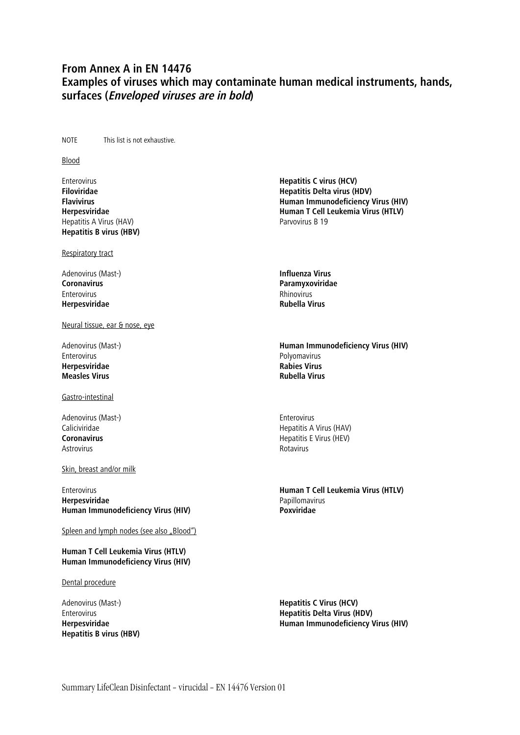## **From Annex A in EN 14476 Examples of viruses which may contaminate human medical instruments, hands, surfaces (Enveloped viruses are in bold)**

NOTE This list is not exhaustive.

## Blood

Enterovirus **Hepatitis C virus (HCV)** Hepatitis A Virus (HAV) and the extended of the Parvovirus B 19 **Hepatitis B virus (HBV)**

Respiratory tract

Adenovirus (Mast-) **Influenza Virus** Enterovirus and the control of the control of the control of the control of the control of the control of the control of the control of the control of the control of the control of the control of the control of the control **Herpesviridae** 

Neural tissue, ear & nose, eye

**Herpesviridae Rabies Virus Measles Virus** 

Gastro-intestinal

Adenovirus (Mast-)<br>
Caliciviridae<br>
Caliciviridae Astrovirus **Rotavirus** Rotavirus Rotavirus Rotavirus Rotavirus Rotavirus Rotavirus Rotavirus Rotavirus Rotavirus

Skin, breast and/or milk

**Herpesviridae** Papillomavirus<br> **Human Immunodeficiency Virus (HIV)** The Controllery Poxylidae **Human Immunodeficiency Virus (HIV)** 

Spleen and lymph nodes (see also "Blood")

**Human T Cell Leukemia Virus (HTLV) Human Immunodeficiency Virus (HIV)**

Dental procedure

**Hepatitis B virus (HBV)**

**Filoviridae Hepatitis Delta virus (HDV) Flavivirus Human Immunodeficiency Virus (HIV) Herpesviridae Human T Cell Leukemia Virus (HTLV)**

**Coronavirus Paramyxoviridae**

Adenovirus (Mast-) **Human Immunodeficiency Virus (HIV)** Polyomavirus<br>Rabies Virus

Caliciviridae Caliciviridae Caliciviridae Caliciviridae Caliciviridae Computer Computer Computer Computer Compu<br>
Coronavirus Computer Computer Computer Computer Computer Computer Computer Computer Computer Computer Compute **Coronavirus** Hepatitis E Virus (HEV)

Enterovirus **Human T Cell Leukemia Virus (HTLV)**

Adenovirus (Mast-) **Hepatitis C Virus (HCV)** Enterovirus **Hepatitis Delta Virus (HDV) Human Immunodeficiency Virus (HIV)**